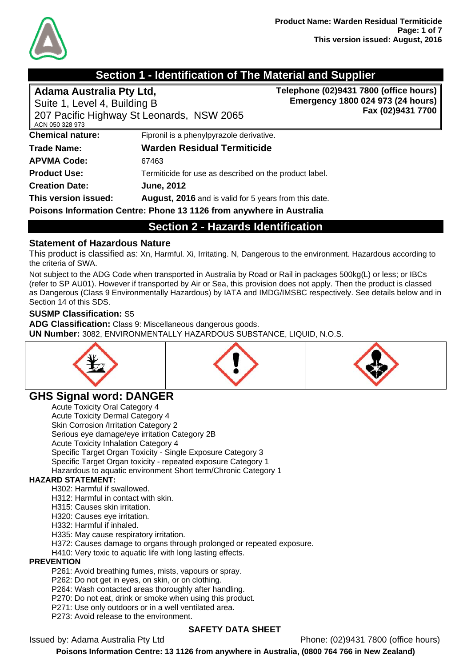

## **Section 1 - Identification of The Material and Supplier**

| Adama Australia Pty Ltd,                                             |                                                        | Telephone (02)9431 7800 (office hours) |  |
|----------------------------------------------------------------------|--------------------------------------------------------|----------------------------------------|--|
| Suite 1, Level 4, Building B                                         |                                                        | Emergency 1800 024 973 (24 hours)      |  |
| ACN 050 328 973                                                      | 207 Pacific Highway St Leonards, NSW 2065              | Fax (02)9431 7700                      |  |
| <b>Chemical nature:</b>                                              | Fipronil is a phenylpyrazole derivative.               |                                        |  |
| Trade Name:                                                          | <b>Warden Residual Termiticide</b>                     |                                        |  |
| <b>APVMA Code:</b>                                                   | 67463                                                  |                                        |  |
| <b>Product Use:</b>                                                  | Termiticide for use as described on the product label. |                                        |  |
| <b>Creation Date:</b>                                                | <b>June, 2012</b>                                      |                                        |  |
| This version issued:                                                 | August, 2016 and is valid for 5 years from this date.  |                                        |  |
| Poisons Information Centre: Phone 13 1126 from anywhere in Australia |                                                        |                                        |  |

**Section 2 - Hazards Identification** 

#### **Statement of Hazardous Nature**

This product is classified as: Xn, Harmful. Xi, Irritating. N, Dangerous to the environment. Hazardous according to the criteria of SWA.

Not subject to the ADG Code when transported in Australia by Road or Rail in packages 500kg(L) or less; or IBCs (refer to SP AU01). However if transported by Air or Sea, this provision does not apply. Then the product is classed as Dangerous (Class 9 Environmentally Hazardous) by IATA and IMDG/IMSBC respectively. See details below and in Section 14 of this SDS.

#### **SUSMP Classification:** S5

**ADG Classification:** Class 9: Miscellaneous dangerous goods.

**UN Number:** 3082, ENVIRONMENTALLY HAZARDOUS SUBSTANCE, LIQUID, N.O.S.



## **GHS Signal word: DANGER**

Acute Toxicity Oral Category 4 Acute Toxicity Dermal Category 4 Skin Corrosion /Irritation Category 2 Serious eye damage/eye irritation Category 2B Acute Toxicity Inhalation Category 4 Specific Target Organ Toxicity - Single Exposure Category 3 Specific Target Organ toxicity - repeated exposure Category 1 Hazardous to aquatic environment Short term/Chronic Category 1

#### **HAZARD STATEMENT:**

H302: Harmful if swallowed.

- H312: Harmful in contact with skin.
- H315: Causes skin irritation.

H320: Causes eye irritation.

H332: Harmful if inhaled.

H335: May cause respiratory irritation.

H372: Causes damage to organs through prolonged or repeated exposure.

H410: Very toxic to aquatic life with long lasting effects.

#### **PREVENTION**

P261: Avoid breathing fumes, mists, vapours or spray.

P262: Do not get in eyes, on skin, or on clothing.

P264: Wash contacted areas thoroughly after handling.

P270: Do not eat, drink or smoke when using this product.

P271: Use only outdoors or in a well ventilated area.

P273: Avoid release to the environment.

#### **SAFETY DATA SHEET**

Issued by: Adama Australia Pty Ltd Phone: (02)9431 7800 (office hours)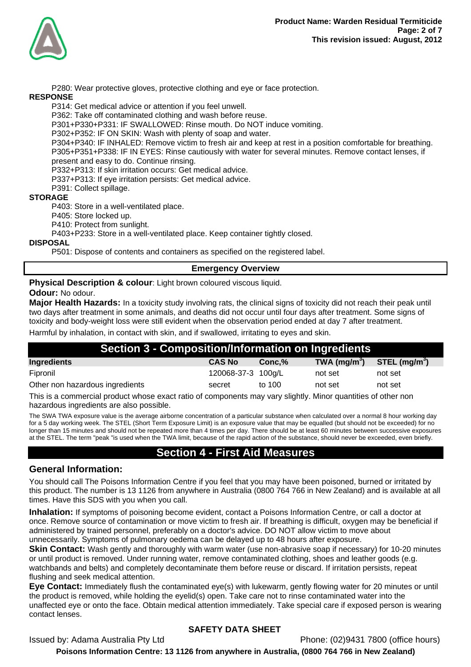

P280: Wear protective gloves, protective clothing and eye or face protection.

#### **RESPONSE**

P314: Get medical advice or attention if you feel unwell.

P362: Take off contaminated clothing and wash before reuse.

P301+P330+P331: IF SWALLOWED: Rinse mouth. Do NOT induce vomiting.

P302+P352: IF ON SKIN: Wash with plenty of soap and water.

P304+P340: IF INHALED: Remove victim to fresh air and keep at rest in a position comfortable for breathing. P305+P351+P338: IF IN EYES: Rinse cautiously with water for several minutes. Remove contact lenses, if present and easy to do. Continue rinsing.

P332+P313: If skin irritation occurs: Get medical advice.

P337+P313: If eye irritation persists: Get medical advice.

P391: Collect spillage.

#### **STORAGE**

P403: Store in a well-ventilated place.

P405: Store locked up.

P410: Protect from sunlight.

P403+P233: Store in a well-ventilated place. Keep container tightly closed.

#### **DISPOSAL**

P501: Dispose of contents and containers as specified on the registered label.

#### **Emergency Overview**

**Physical Description & colour:** Light brown coloured viscous liquid.

**Odour:** No odour.

**Major Health Hazards:** In a toxicity study involving rats, the clinical signs of toxicity did not reach their peak until two days after treatment in some animals, and deaths did not occur until four days after treatment. Some signs of toxicity and body-weight loss were still evident when the observation period ended at day 7 after treatment.

Harmful by inhalation, in contact with skin, and if swallowed, irritating to eyes and skin.

| Section 3 - Composition/Information on Ingredients |                    |           |                 |                 |
|----------------------------------------------------|--------------------|-----------|-----------------|-----------------|
| Ingredients                                        | <b>CAS No</b>      | $Conc.\%$ | TWA ( $mg/m3$ ) | STEL $(mq/m^3)$ |
| Fipronil                                           | 120068-37-3 100g/L |           | not set         | not set         |
| Other non hazardous ingredients                    | secret             | to 100    | not set         | not set         |
|                                                    |                    |           |                 |                 |

This is a commercial product whose exact ratio of components may vary slightly. Minor quantities of other non hazardous ingredients are also possible.

The SWA TWA exposure value is the average airborne concentration of a particular substance when calculated over a normal 8 hour working day for a 5 day working week. The STEL (Short Term Exposure Limit) is an exposure value that may be equalled (but should not be exceeded) for no longer than 15 minutes and should not be repeated more than 4 times per day. There should be at least 60 minutes between successive exposures at the STEL. The term "peak "is used when the TWA limit, because of the rapid action of the substance, should never be exceeded, even briefly.

### **Section 4 - First Aid Measures**

#### **General Information:**

You should call The Poisons Information Centre if you feel that you may have been poisoned, burned or irritated by this product. The number is 13 1126 from anywhere in Australia (0800 764 766 in New Zealand) and is available at all times. Have this SDS with you when you call.

**Inhalation:** If symptoms of poisoning become evident, contact a Poisons Information Centre, or call a doctor at once. Remove source of contamination or move victim to fresh air. If breathing is difficult, oxygen may be beneficial if administered by trained personnel, preferably on a doctor's advice. DO NOT allow victim to move about unnecessarily. Symptoms of pulmonary oedema can be delayed up to 48 hours after exposure.

**Skin Contact:** Wash gently and thoroughly with warm water (use non-abrasive soap if necessary) for 10-20 minutes or until product is removed. Under running water, remove contaminated clothing, shoes and leather goods (e.g. watchbands and belts) and completely decontaminate them before reuse or discard. If irritation persists, repeat flushing and seek medical attention.

**Eye Contact:** Immediately flush the contaminated eye(s) with lukewarm, gently flowing water for 20 minutes or until the product is removed, while holding the eyelid(s) open. Take care not to rinse contaminated water into the unaffected eye or onto the face. Obtain medical attention immediately. Take special care if exposed person is wearing contact lenses.

#### **SAFETY DATA SHEET**

Issued by: Adama Australia Pty Ltd Phone: (02)9431 7800 (office hours)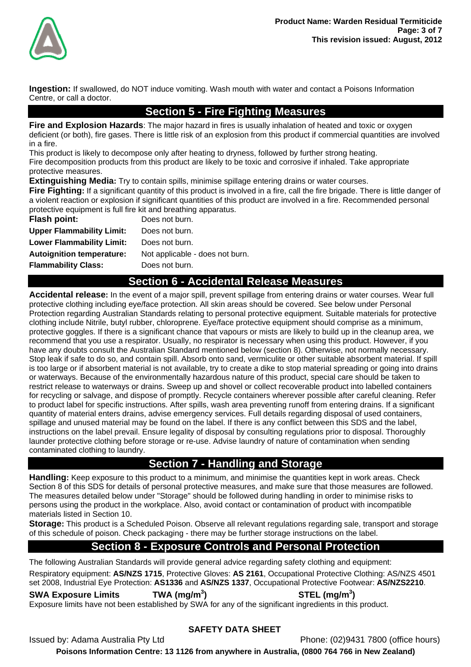

**Ingestion:** If swallowed, do NOT induce vomiting. Wash mouth with water and contact a Poisons Information Centre, or call a doctor.

## **Section 5 - Fire Fighting Measures**

**Fire and Explosion Hazards**: The major hazard in fires is usually inhalation of heated and toxic or oxygen deficient (or both), fire gases. There is little risk of an explosion from this product if commercial quantities are involved in a fire.

This product is likely to decompose only after heating to dryness, followed by further strong heating. Fire decomposition products from this product are likely to be toxic and corrosive if inhaled. Take appropriate protective measures.

**Extinguishing Media:** Try to contain spills, minimise spillage entering drains or water courses.

**Fire Fighting:** If a significant quantity of this product is involved in a fire, call the fire brigade. There is little danger of a violent reaction or explosion if significant quantities of this product are involved in a fire. Recommended personal protective equipment is full fire kit and breathing apparatus.

| Flash point:                     | Does not burn.                  |
|----------------------------------|---------------------------------|
| <b>Upper Flammability Limit:</b> | Does not burn.                  |
| <b>Lower Flammability Limit:</b> | Does not burn.                  |
| <b>Autoignition temperature:</b> | Not applicable - does not burn. |
| <b>Flammability Class:</b>       | Does not burn.                  |

## **Section 6 - Accidental Release Measures**

**Accidental release:** In the event of a major spill, prevent spillage from entering drains or water courses. Wear full protective clothing including eye/face protection. All skin areas should be covered. See below under Personal Protection regarding Australian Standards relating to personal protective equipment. Suitable materials for protective clothing include Nitrile, butyl rubber, chloroprene. Eye/face protective equipment should comprise as a minimum, protective goggles. If there is a significant chance that vapours or mists are likely to build up in the cleanup area, we recommend that you use a respirator. Usually, no respirator is necessary when using this product. However, if you have any doubts consult the Australian Standard mentioned below (section 8). Otherwise, not normally necessary. Stop leak if safe to do so, and contain spill. Absorb onto sand, vermiculite or other suitable absorbent material. If spill is too large or if absorbent material is not available, try to create a dike to stop material spreading or going into drains or waterways. Because of the environmentally hazardous nature of this product, special care should be taken to restrict release to waterways or drains. Sweep up and shovel or collect recoverable product into labelled containers for recycling or salvage, and dispose of promptly. Recycle containers wherever possible after careful cleaning. Refer to product label for specific instructions. After spills, wash area preventing runoff from entering drains. If a significant quantity of material enters drains, advise emergency services. Full details regarding disposal of used containers, spillage and unused material may be found on the label. If there is any conflict between this SDS and the label, instructions on the label prevail. Ensure legality of disposal by consulting regulations prior to disposal. Thoroughly launder protective clothing before storage or re-use. Advise laundry of nature of contamination when sending contaminated clothing to laundry.

## **Section 7 - Handling and Storage**

**Handling:** Keep exposure to this product to a minimum, and minimise the quantities kept in work areas. Check Section 8 of this SDS for details of personal protective measures, and make sure that those measures are followed. The measures detailed below under "Storage" should be followed during handling in order to minimise risks to persons using the product in the workplace. Also, avoid contact or contamination of product with incompatible materials listed in Section 10.

**Storage:** This product is a Scheduled Poison. Observe all relevant regulations regarding sale, transport and storage of this schedule of poison. Check packaging - there may be further storage instructions on the label.

## **Section 8 - Exposure Controls and Personal Protection**

The following Australian Standards will provide general advice regarding safety clothing and equipment:

Respiratory equipment: **AS/NZS 1715**, Protective Gloves: **AS 2161**, Occupational Protective Clothing: AS/NZS 4501 set 2008, Industrial Eye Protection: **AS1336** and **AS/NZS 1337**, Occupational Protective Footwear: **AS/NZS2210**.

**SWA Exposure Limits TWA (mg/m<sup>3</sup>**

**) STEL (mg/m<sup>3</sup> )** 

Exposure limits have not been established by SWA for any of the significant ingredients in this product.

#### **SAFETY DATA SHEET**

Issued by: Adama Australia Pty Ltd Phone: (02)9431 7800 (office hours)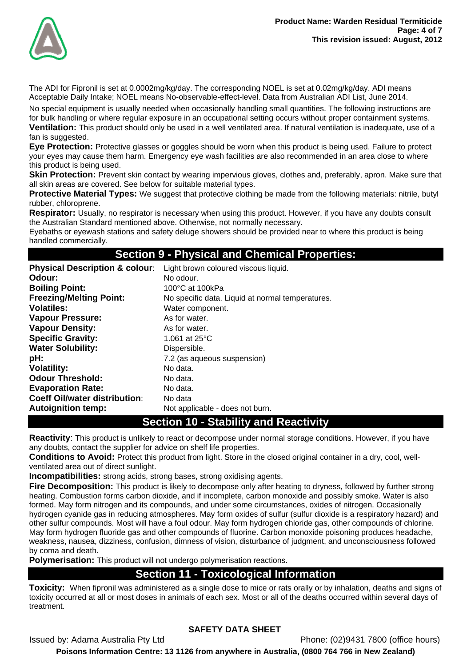

The ADI for Fipronil is set at 0.0002mg/kg/day. The corresponding NOEL is set at 0.02mg/kg/day. ADI means Acceptable Daily Intake; NOEL means No-observable-effect-level. Data from Australian ADI List, June 2014.

No special equipment is usually needed when occasionally handling small quantities. The following instructions are for bulk handling or where regular exposure in an occupational setting occurs without proper containment systems.

**Ventilation:** This product should only be used in a well ventilated area. If natural ventilation is inadequate, use of a fan is suggested.

**Eye Protection:** Protective glasses or goggles should be worn when this product is being used. Failure to protect your eyes may cause them harm. Emergency eye wash facilities are also recommended in an area close to where this product is being used.

**Skin Protection:** Prevent skin contact by wearing impervious gloves, clothes and, preferably, apron. Make sure that all skin areas are covered. See below for suitable material types.

**Protective Material Types:** We suggest that protective clothing be made from the following materials: nitrile, butyl rubber, chloroprene.

**Respirator:** Usually, no respirator is necessary when using this product. However, if you have any doubts consult the Australian Standard mentioned above. Otherwise, not normally necessary.

Eyebaths or eyewash stations and safety deluge showers should be provided near to where this product is being handled commercially.

#### **Section 9 - Physical and Chemical Properties:**

| <b>Physical Description &amp; colour:</b> | Light brown coloured viscous liquid.             |
|-------------------------------------------|--------------------------------------------------|
| Odour:                                    | No odour.                                        |
| <b>Boiling Point:</b>                     | 100°C at 100kPa                                  |
| <b>Freezing/Melting Point:</b>            | No specific data. Liquid at normal temperatures. |
| <b>Volatiles:</b>                         | Water component.                                 |
| <b>Vapour Pressure:</b>                   | As for water.                                    |
| <b>Vapour Density:</b>                    | As for water.                                    |
| <b>Specific Gravity:</b>                  | 1.061 at $25^{\circ}$ C                          |
| <b>Water Solubility:</b>                  | Dispersible.                                     |
| pH:                                       | 7.2 (as aqueous suspension)                      |
| <b>Volatility:</b>                        | No data.                                         |
| <b>Odour Threshold:</b>                   | No data.                                         |
| <b>Evaporation Rate:</b>                  | No data.                                         |
| <b>Coeff Oil/water distribution:</b>      | No data                                          |
| <b>Autoignition temp:</b>                 | Not applicable - does not burn.                  |

## **Section 10 - Stability and Reactivity**

**Reactivity**: This product is unlikely to react or decompose under normal storage conditions. However, if you have any doubts, contact the supplier for advice on shelf life properties.

**Conditions to Avoid:** Protect this product from light. Store in the closed original container in a dry, cool, wellventilated area out of direct sunlight.

**Incompatibilities:** strong acids, strong bases, strong oxidising agents.

**Fire Decomposition:** This product is likely to decompose only after heating to dryness, followed by further strong heating. Combustion forms carbon dioxide, and if incomplete, carbon monoxide and possibly smoke. Water is also formed. May form nitrogen and its compounds, and under some circumstances, oxides of nitrogen. Occasionally hydrogen cyanide gas in reducing atmospheres. May form oxides of sulfur (sulfur dioxide is a respiratory hazard) and other sulfur compounds. Most will have a foul odour. May form hydrogen chloride gas, other compounds of chlorine. May form hydrogen fluoride gas and other compounds of fluorine. Carbon monoxide poisoning produces headache, weakness, nausea, dizziness, confusion, dimness of vision, disturbance of judgment, and unconsciousness followed by coma and death.

**Polymerisation:** This product will not undergo polymerisation reactions.

#### **Section 11 - Toxicological Information**

**Toxicity:** When fipronil was administered as a single dose to mice or rats orally or by inhalation, deaths and signs of toxicity occurred at all or most doses in animals of each sex. Most or all of the deaths occurred within several days of treatment.

#### **SAFETY DATA SHEET**

Issued by: Adama Australia Pty Ltd Phone: (02)9431 7800 (office hours)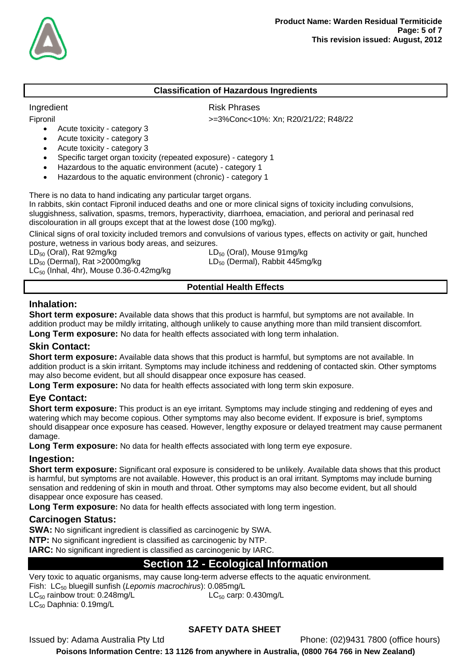

#### **Classification of Hazardous Ingredients**

Fipronil >=3%Conc<10%: Xn; R20/21/22; R48/22

Ingredient **Risk Phrases** 

Acute toxicity - category 3

- Acute toxicity category 3
- Acute toxicity category 3
- Specific target organ toxicity (repeated exposure) category 1
- Hazardous to the aquatic environment (acute) category 1
- Hazardous to the aquatic environment (chronic) category 1

There is no data to hand indicating any particular target organs.

In rabbits, skin contact Fipronil induced deaths and one or more clinical signs of toxicity including convulsions, sluggishness, salivation, spasms, tremors, hyperactivity, diarrhoea, emaciation, and perioral and perinasal red discolouration in all groups except that at the lowest dose (100 mg/kg).

Clinical signs of oral toxicity included tremors and convulsions of various types, effects on activity or gait, hunched posture, wetness in various body areas, and seizures.

 $LD_{50}$  (Dermal), Rat >2000mg/kg LD<sub>50</sub> (Dermal), Rabbit 445mg/kg  $LC_{50}$  (Inhal, 4hr), Mouse 0.36-0.42mg/kg

 $LD_{50}$  (Oral), Rat 92mg/kg  $LD_{50}$  (Oral), Mouse 91mg/kg

#### **Potential Health Effects**

#### **Inhalation:**

**Short term exposure:** Available data shows that this product is harmful, but symptoms are not available. In addition product may be mildly irritating, although unlikely to cause anything more than mild transient discomfort.

**Long Term exposure:** No data for health effects associated with long term inhalation.

#### **Skin Contact:**

**Short term exposure:** Available data shows that this product is harmful, but symptoms are not available. In addition product is a skin irritant. Symptoms may include itchiness and reddening of contacted skin. Other symptoms may also become evident, but all should disappear once exposure has ceased.

**Long Term exposure:** No data for health effects associated with long term skin exposure.

#### **Eye Contact:**

**Short term exposure:** This product is an eye irritant. Symptoms may include stinging and reddening of eyes and watering which may become copious. Other symptoms may also become evident. If exposure is brief, symptoms should disappear once exposure has ceased. However, lengthy exposure or delayed treatment may cause permanent damage.

**Long Term exposure:** No data for health effects associated with long term eye exposure.

#### **Ingestion:**

**Short term exposure:** Significant oral exposure is considered to be unlikely. Available data shows that this product is harmful, but symptoms are not available. However, this product is an oral irritant. Symptoms may include burning sensation and reddening of skin in mouth and throat. Other symptoms may also become evident, but all should disappear once exposure has ceased.

**Long Term exposure:** No data for health effects associated with long term ingestion.

#### **Carcinogen Status:**

**SWA:** No significant ingredient is classified as carcinogenic by SWA. **NTP:** No significant ingredient is classified as carcinogenic by NTP.

**IARC:** No significant ingredient is classified as carcinogenic by IARC.

## **Section 12 - Ecological Information**

Very toxic to aquatic organisms, may cause long-term adverse effects to the aquatic environment.

Fish: LC50 bluegill sunfish (*Lepomis macrochirus*): 0.085mg/L

 $LC_{50}$  rainbow trout: 0.248mg/L  $LC_{50}$  Carp: 0.430mg/L

LC<sub>50</sub> Daphnia: 0.19mg/L

# **SAFETY DATA SHEET**

Issued by: Adama Australia Pty Ltd Phone: (02)9431 7800 (office hours)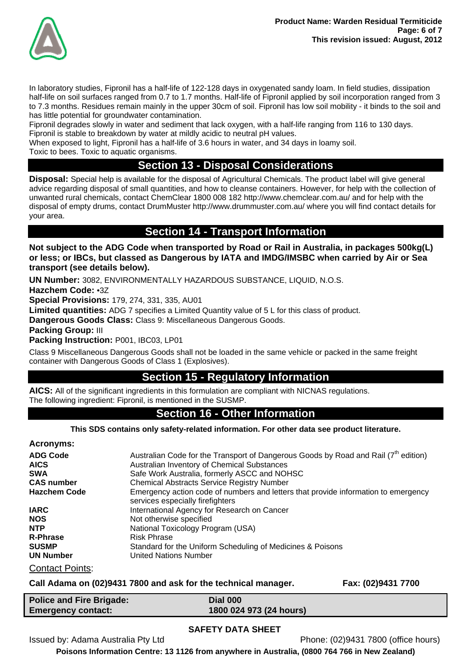

In laboratory studies, Fipronil has a half-life of 122-128 days in oxygenated sandy loam. In field studies, dissipation half-life on soil surfaces ranged from 0.7 to 1.7 months. Half-life of Fipronil applied by soil incorporation ranged from 3 to 7.3 months. Residues remain mainly in the upper 30cm of soil. Fipronil has low soil mobility - it binds to the soil and has little potential for groundwater contamination.

Fipronil degrades slowly in water and sediment that lack oxygen, with a half-life ranging from 116 to 130 days. Fipronil is stable to breakdown by water at mildly acidic to neutral pH values.

When exposed to light, Fipronil has a half-life of 3.6 hours in water, and 34 days in loamy soil.

Toxic to bees. Toxic to aquatic organisms.

## **Section 13 - Disposal Considerations**

**Disposal:** Special help is available for the disposal of Agricultural Chemicals. The product label will give general advice regarding disposal of small quantities, and how to cleanse containers. However, for help with the collection of unwanted rural chemicals, contact ChemClear 1800 008 182 http://www.chemclear.com.au/ and for help with the disposal of empty drums, contact DrumMuster http://www.drummuster.com.au/ where you will find contact details for your area.

## **Section 14 - Transport Information**

**Not subject to the ADG Code when transported by Road or Rail in Australia, in packages 500kg(L) or less; or IBCs, but classed as Dangerous by IATA and IMDG/IMSBC when carried by Air or Sea transport (see details below).** 

**UN Number:** 3082, ENVIRONMENTALLY HAZARDOUS SUBSTANCE, LIQUID, N.O.S.

**Hazchem Code:** •3Z

**Special Provisions:** 179, 274, 331, 335, AU01

**Limited quantities:** ADG 7 specifies a Limited Quantity value of 5 L for this class of product.

**Dangerous Goods Class:** Class 9: Miscellaneous Dangerous Goods.

**Packing Group:** III

**Packing Instruction:** P001, IBC03, LP01

Class 9 Miscellaneous Dangerous Goods shall not be loaded in the same vehicle or packed in the same freight container with Dangerous Goods of Class 1 (Explosives).

## **Section 15 - Regulatory Information**

**AICS:** All of the significant ingredients in this formulation are compliant with NICNAS regulations. The following ingredient: Fipronil, is mentioned in the SUSMP.

### **Section 16 - Other Information**

**This SDS contains only safety-related information. For other data see product literature.** 

**Acronyms:** 

| <b>ADG Code</b>        | Australian Code for the Transport of Dangerous Goods by Road and Rail $(7th$ edition)                                  |
|------------------------|------------------------------------------------------------------------------------------------------------------------|
| <b>AICS</b>            | Australian Inventory of Chemical Substances                                                                            |
| <b>SWA</b>             | Safe Work Australia, formerly ASCC and NOHSC                                                                           |
| <b>CAS number</b>      | <b>Chemical Abstracts Service Registry Number</b>                                                                      |
| <b>Hazchem Code</b>    | Emergency action code of numbers and letters that provide information to emergency<br>services especially firefighters |
| <b>IARC</b>            | International Agency for Research on Cancer                                                                            |
| <b>NOS</b>             | Not otherwise specified                                                                                                |
| <b>NTP</b>             | National Toxicology Program (USA)                                                                                      |
| <b>R-Phrase</b>        | <b>Risk Phrase</b>                                                                                                     |
| <b>SUSMP</b>           | Standard for the Uniform Scheduling of Medicines & Poisons                                                             |
| <b>UN Number</b>       | United Nations Number                                                                                                  |
| <b>Contact Points:</b> |                                                                                                                        |

**Call Adama on (02)9431 7800 and ask for the technical manager. Fax: (02)9431 7700** 

| <b>Police and Fire Brigade:</b> | Dial 000                |
|---------------------------------|-------------------------|
| <b>Emergency contact:</b>       | 1800 024 973 (24 hours) |

#### **SAFETY DATA SHEET**

Issued by: Adama Australia Pty Ltd Phone: (02)9431 7800 (office hours)